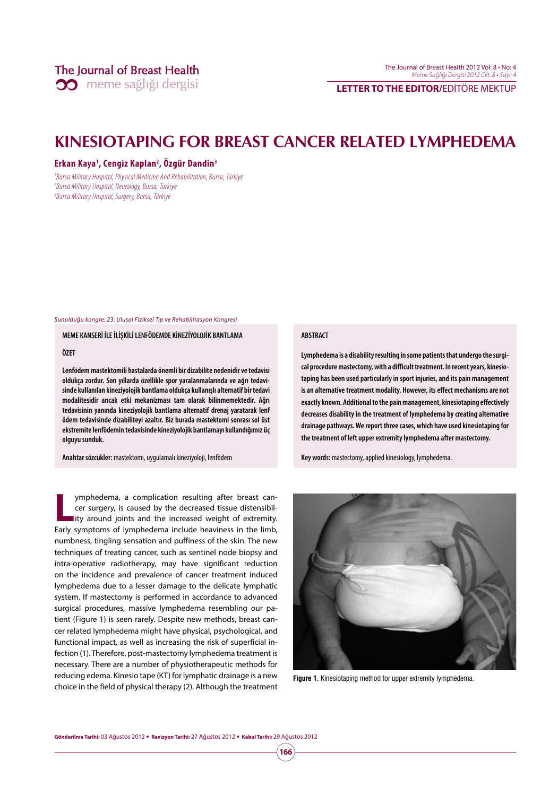**LETTER TO THE EDITOR/**EDİTÖRE MEKTUP

# **KINESIOTAPING FOR BREAST CANCER RELATED LYMPHEDEMA**

## **Erkan Kaya1 , Cengiz Kaplan2 , Özgür Dandin3**

1 Bursa Military Hospital, Physical Medicine And Rehabilitation, Bursa, Türkiye 2 Bursa Military Hospital, Neurology, Bursa, Türkiye 3 Bursa Military Hospital, Surgery, Bursa, Türkiye

Sunulduğu kongre: 23. Ulusal Fiziksel Tıp ve Rehabilitasyon Kongresi

**MEME KANSERİ İLE İLİŞKİLİ LENFÖDEMDE KİNEZİYOLOJİK BANTLAMA** 

## **ÖZET**

**Lenfödem mastektomili hastalarda önemli bir dizabilite nedenidir ve tedavisi oldukça zordur. Son yıllarda özellikle spor yaralanmalarında ve ağrı tedavisinde kullanılan kineziyolojik bantlama oldukça kullanışlı alternatif bir tedavi modalitesidir ancak etki mekanizması tam olarak bilinmemektedir. Ağrı tedavisinin yanında kineziyolojik bantlama alternatif drenaj yaratarak lenf ödem tedavisinde dizabiliteyi azaltır. Biz burada mastektomi sonrası sol üst ekstremite lenfödemin tedavisinde kineziyolojik bantlamayı kullandığımız üç olguyu sunduk.** 

**Anahtar sözcükler:** mastektomi, uygulamalı kineziyoloji, lenfödem

**L** ymphedema, a complication resulting after breast cancer surgery, is caused by the decreased tissue distensibillity around joints and the increased weight of extremity. Early symptoms of lymphedema include heaviness in the limb, numbness, tingling sensation and puffiness of the skin. The new techniques of treating cancer, such as sentinel node biopsy and intra-operative radiotherapy, may have significant reduction on the incidence and prevalence of cancer treatment induced lymphedema due to a lesser damage to the delicate lymphatic system. If mastectomy is performed in accordance to advanced surgical procedures, massive lymphedema resembling our patient (Figure 1) is seen rarely. Despite new methods, breast cancer related lymphedema might have physical, psychological, and functional impact, as well as increasing the risk of superficial infection (1). Therefore, post-mastectomy lymphedema treatment is necessary. There are a number of physiotherapeutic methods for reducing edema. Kinesio tape (KT) for lymphatic drainage is a new choice in the field of physical therapy (2). Although the treatment

### **ABSTRACT**

**Lymphedema is a disability resulting in some patients that undergo the surgical procedure mastectomy, with a difficult treatment. In recent years, kinesiotaping has been used particularly in sport injuries, and its pain management is an alternative treatment modality. However, its effect mechanisms are not exactly known. Additional to the pain management, kinesiotaping effectively decreases disability in the treatment of lymphedema by creating alternative drainage pathways. We report three cases, which have used kinesiotaping for the treatment of left upper extremity lymphedema after mastectomy.** 

**Key words:** mastectomy, applied kinesiology, lymphedema.



**Figure 1.** Kinesiotaping method for upper extremity lymphedema.

**166**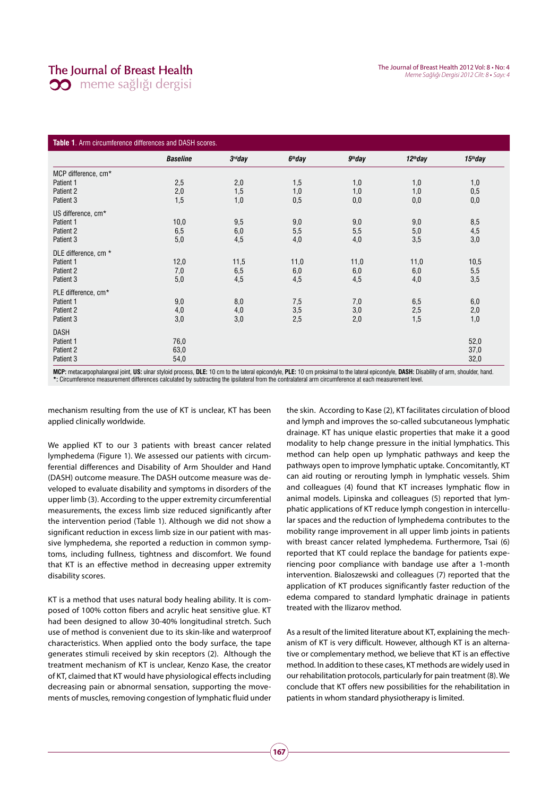# The Journal of Breast Health

**00** meme sağlığı dergisi

| Table 1. Arm circumference differences and DASH scores. |                 |                     |           |           |            |            |
|---------------------------------------------------------|-----------------|---------------------|-----------|-----------|------------|------------|
|                                                         | <b>Baseline</b> | 3 <sup>rd</sup> day | $6th$ day | $9th$ day | $12th$ day | $15th$ day |
| MCP difference, cm*                                     |                 |                     |           |           |            |            |
| Patient 1                                               | 2,5             | 2,0                 | 1,5       | 1,0       | 1,0        | 1,0        |
| Patient 2                                               | 2,0             | 1,5                 | 1,0       | 1,0       | 1,0        | 0,5        |
| Patient 3                                               | 1,5             | 1,0                 | 0,5       | 0,0       | 0,0        | 0,0        |
| US difference, cm*                                      |                 |                     |           |           |            |            |
| Patient 1                                               | 10,0            | 9,5                 | 9,0       | 9,0       | 9,0        | 8,5        |
| Patient 2                                               | 6,5             | 6,0                 | 5,5       | 5,5       | $5,0$      | 4,5        |
| Patient 3                                               | 5,0             | 4,5                 | 4,0       | 4,0       | 3,5        | 3,0        |
| DLE difference, cm *                                    |                 |                     |           |           |            |            |
| Patient 1                                               | 12,0            | 11,5                | 11,0      | 11,0      | 11,0       | 10,5       |
| Patient 2                                               | 7,0             | 6,5                 | 6,0       | $6,\!0$   | 6,0        | $5,5$      |
| Patient 3                                               | 5,0             | 4,5                 | 4,5       | 4,5       | 4,0        | 3,5        |
| PLE difference, cm*                                     |                 |                     |           |           |            |            |
| Patient 1                                               | 9,0             | 8,0                 | 7,5       | 7,0       | 6,5        | 6,0        |
| Patient 2                                               | 4,0             | 4,0                 | 3,5       | 3,0       | 2,5        | 2,0        |
| Patient 3                                               | 3,0             | 3,0                 | 2,5       | 2,0       | 1,5        | 1,0        |
| <b>DASH</b>                                             |                 |                     |           |           |            |            |
| Patient 1                                               | 76,0            |                     |           |           |            | 52,0       |
| Patient 2                                               | 63,0            |                     |           |           |            | 37,0       |
| Patient 3                                               | 54,0            |                     |           |           |            | 32,0       |

**MCP:** metacarpophalangeal joint, **US:** ulnar styloid process, **DLE:** 10 cm to the lateral epicondyle, **PLE:** 10 cm proksimal to the lateral epicondyle, **DASH:** Disability of arm, shoulder, hand. **\*:** Circumference measurement differences calculated by subtracting the ipsilateral from the contralateral arm circumference at each measurement level.

mechanism resulting from the use of KT is unclear, KT has been applied clinically worldwide.

We applied KT to our 3 patients with breast cancer related lymphedema (Figure 1). We assessed our patients with circumferential differences and Disability of Arm Shoulder and Hand (DASH) outcome measure. The DASH outcome measure was developed to evaluate disability and symptoms in disorders of the upper limb (3). According to the upper extremity circumferential measurements, the excess limb size reduced significantly after the intervention period (Table 1). Although we did not show a significant reduction in excess limb size in our patient with massive lymphedema, she reported a reduction in common symptoms, including fullness, tightness and discomfort. We found that KT is an effective method in decreasing upper extremity disability scores.

KT is a method that uses natural body healing ability. It is composed of 100% cotton fibers and acrylic heat sensitive glue. KT had been designed to allow 30-40% longitudinal stretch. Such use of method is convenient due to its skin-like and waterproof characteristics. When applied onto the body surface, the tape generates stimuli received by skin receptors (2). Although the treatment mechanism of KT is unclear, Kenzo Kase, the creator of KT, claimed that KT would have physiological effects including decreasing pain or abnormal sensation, supporting the movements of muscles, removing congestion of lymphatic fluid under

the skin. According to Kase (2), KT facilitates circulation of blood and lymph and improves the so-called subcutaneous lymphatic drainage. KT has unique elastic properties that make it a good modality to help change pressure in the initial lymphatics. This method can help open up lymphatic pathways and keep the pathways open to improve lymphatic uptake. Concomitantly, KT can aid routing or rerouting lymph in lymphatic vessels. Shim and colleagues (4) found that KT increases lymphatic flow in animal models. Lipinska and colleagues (5) reported that lymphatic applications of KT reduce lymph congestion in intercellular spaces and the reduction of lymphedema contributes to the mobility range improvement in all upper limb joints in patients with breast cancer related lymphedema. Furthermore, Tsai (6) reported that KT could replace the bandage for patients experiencing poor compliance with bandage use after a 1-month intervention. Bialoszewski and colleagues (7) reported that the application of KT produces significantly faster reduction of the edema compared to standard lymphatic drainage in patients treated with the Ilizarov method.

As a result of the limited literature about KT, explaining the mechanism of KT is very difficult. However, although KT is an alternative or complementary method, we believe that KT is an effective method. In addition to these cases, KT methods are widely used in our rehabilitation protocols, particularly for pain treatment (8). We conclude that KT offers new possibilities for the rehabilitation in patients in whom standard physiotherapy is limited.